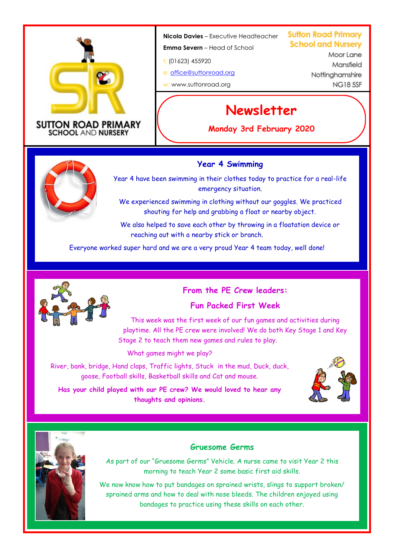

#### **SUTTON ROAD PRIMARY SCHOOL AND NURSERY**

**Nicola Davies** – Executive Headteacher

**Emma Severn** – Head of School

t: (01623) 455920

e: [office@suttonroad.org](mailto:office@suttonroad.org) w: www.suttonroad.org

**Sutton Road Primary School and Nurserv** 

> MoorLane Mansfield Nottinghamshire **NG185SE**

# **Newsletter**

**Monday 3rd February 2020**

# **Year 4 Swimming**



Year 4 have been swimming in their clothes today to practice for a real-life emergency situation.

We experienced swimming in clothing without our goggles. We practiced shouting for help and grabbing a float or nearby object.

We also helped to save each other by throwing in a floatation device or reaching out with a nearby stick or branch.

Everyone worked super hard and we are a very proud Year 4 team today, well done!



**From the PE Crew leaders:**

# **Fun Packed First Week**

This week was the first week of our fun games and activities during playtime. All the PE crew were involved! We do both Key Stage 1 and Key Stage 2 to teach them new games and rules to play.

What games might we play?

River, bank, bridge, Hand claps, Traffic lights, Stuck in the mud, Duck, duck, goose, Football skills, Basketball skills and Cat and mouse.



**Has your child played with our PE crew? We would loved to hear any thoughts and opinions.** 



# **Gruesome Germs**

As part of our "Gruesome Germs" Vehicle. A nurse came to visit Year 2 this morning to teach Year 2 some basic first aid skills.

We now know how to put bandages on sprained wrists, slings to support broken/ sprained arms and how to deal with nose bleeds. The children enjoyed using bandages to practice using these skills on each other.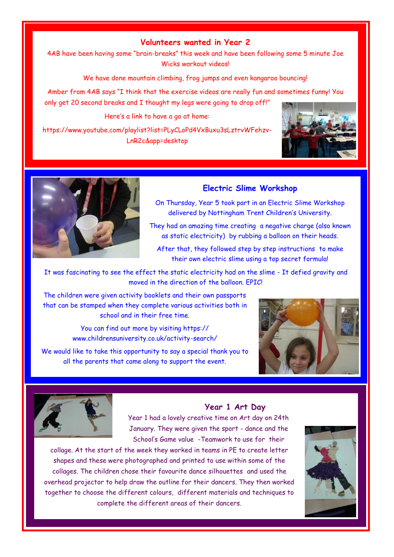# **Volunteers wanted in Year 2**

4AB have been having some "brain-breaks" this week and have been following some 5 minute Joe Wicks workout videos!

We have done mountain climbing, frog jumps and even kangaroo bouncing!

Amber from 4AB says "I think that the exercise videos are really fun and sometimes funny! You only get 20 second breaks and I thought my legs were going to drop off!"

Here's a link to have a go at home:

https://www.youtube.com/playlist?list=PLyCLoPd4VxBuxu3sLztrvWFehzv-LnR2c&app=desktop





# **Electric Slime Workshop**

On Thursday, Year 5 took part in an Electric Slime Workshop delivered by Nottingham Trent Children's University.

They had an amazing time creating a negative charge (also known as static electricity) by rubbing a balloon on their heads.

After that, they followed step by step instructions to make their own electric slime using a top secret formula!

It was fascinating to see the effect the static electricity had on the slime - It defied gravity and moved in the direction of the balloon. EPIC!

The children were given activity booklets and their own passports that can be stamped when they complete various activities both in school and in their free time.

> You can find out more by visiting https:// www.childrensuniversity.co.uk/activity-search/

We would like to take this opportunity to say a special thank you to all the parents that came along to support the event.





#### **Year 1 Art Day**

Year 1 had a lovely creative time on Art day on 24th January. They were given the sport - dance and the School's Game value -Teamwork to use for their

collage. At the start of the week they worked in teams in PE to create letter shapes and these were photographed and printed to use within some of the collages. The children chose their favourite dance silhouettes and used the overhead projector to help draw the outline for their dancers. They then worked together to choose the different colours, different materials and techniques to complete the different areas of their dancers.

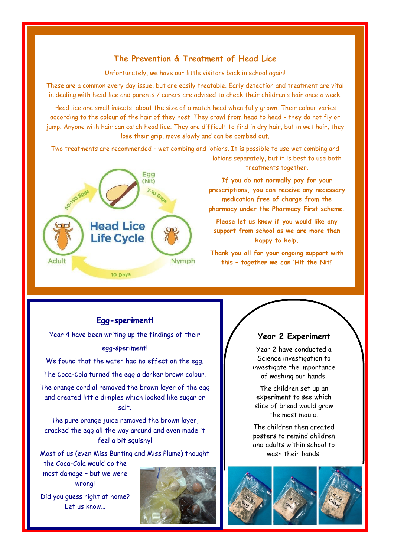# **The Prevention & Treatment of Head Lice**

Unfortunately, we have our little visitors back in school again!

These are a common every day issue, but are easily treatable. Early detection and treatment are vital in dealing with head lice and parents / carers are advised to check their children's hair once a week.

Head lice are small insects, about the size of a match head when fully grown. Their colour varies according to the colour of the hair of they host. They crawl from head to head - they do not fly or jump. Anyone with hair can catch head lice. They are difficult to find in dry hair, but in wet hair, they lose their grip, move slowly and can be combed out.

Two treatments are recommended – wet combing and lotions. It is possible to use wet combing and lotions separately, but it is best to use both



treatments together.

**If you do not normally pay for your prescriptions, you can receive any necessary medication free of charge from the pharmacy under the Pharmacy First scheme.** 

**Please let us know if you would like any support from school as we are more than happy to help.**

**Thank you all for your ongoing support with this – together we can 'Hit the Nit!'** 

# **Egg-speriment!**

Year 4 have been writing up the findings of their egg-speriment!

We found that the water had no effect on the egg. The Coca-Cola turned the egg a darker brown colour.

The orange cordial removed the brown layer of the egg

and created little dimples which looked like sugar or salt.

The pure orange juice removed the brown layer, cracked the egg all the way around and even made it feel a bit squishy!

Most of us (even Miss Bunting and Miss Plume) thought

the Coca-Cola would do the most damage – but we were wrong!

Did you guess right at home? Let us know…



#### **Year 2 Experiment**

Year 2 have conducted a Science investigation to investigate the importance of washing our hands.

The children set up an experiment to see which slice of bread would arow the most mould.

The children then created posters to remind children and adults within school to wash their hands.